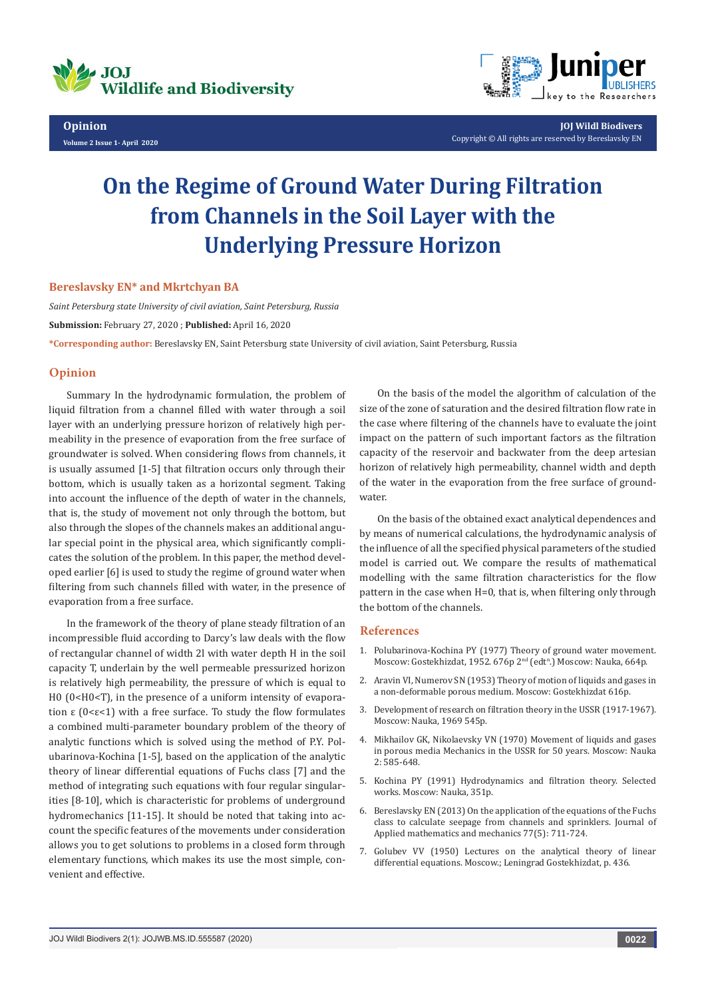

**Opinion Volume 2 Issue 1- April 2020**



**JOJ Wildl Biodivers** Copyright © All rights are reserved by Bereslavsky EN

# **On the Regime of Ground Water During Filtration from Channels in the Soil Layer with the Underlying Pressure Horizon**

#### **Bereslavsky EN\* and Mkrtchyan BA**

*Saint Petersburg state University of civil aviation, Saint Petersburg, Russia* **Submission:** February 27, 2020 ; **Published:** April 16, 2020 **\*Corresponding author:** Bereslavsky EN, Saint Petersburg state University of civil aviation, Saint Petersburg, Russia

### **Opinion**

Summary In the hydrodynamic formulation, the problem of liquid filtration from a channel filled with water through a soil layer with an underlying pressure horizon of relatively high permeability in the presence of evaporation from the free surface of groundwater is solved. When considering flows from channels, it is usually assumed [1-5] that filtration occurs only through their bottom, which is usually taken as a horizontal segment. Taking into account the influence of the depth of water in the channels, that is, the study of movement not only through the bottom, but also through the slopes of the channels makes an additional angular special point in the physical area, which significantly complicates the solution of the problem. In this paper, the method developed earlier [6] is used to study the regime of ground water when filtering from such channels filled with water, in the presence of evaporation from a free surface.

In the framework of the theory of plane steady filtration of an incompressible fluid according to Darcy's law deals with the flow of rectangular channel of width 2l with water depth H in the soil capacity T, underlain by the well permeable pressurized horizon is relatively high permeability, the pressure of which is equal to H0 (0<H0<T), in the presence of a uniform intensity of evaporation ε (0<ε<1) with a free surface. To study the flow formulates a combined multi-parameter boundary problem of the theory of analytic functions which is solved using the method of P.Y. Polubarinova-Kochina [1-5], based on the application of the analytic theory of linear differential equations of Fuchs class [7] and the method of integrating such equations with four regular singularities [8-10], which is characteristic for problems of underground hydromechanics [11-15]. It should be noted that taking into account the specific features of the movements under consideration allows you to get solutions to problems in a closed form through elementary functions, which makes its use the most simple, convenient and effective.

On the basis of the model the algorithm of calculation of the size of the zone of saturation and the desired filtration flow rate in the case where filtering of the channels have to evaluate the joint impact on the pattern of such important factors as the filtration capacity of the reservoir and backwater from the deep artesian horizon of relatively high permeability, channel width and depth of the water in the evaporation from the free surface of groundwater.

On the basis of the obtained exact analytical dependences and by means of numerical calculations, the hydrodynamic analysis of the influence of all the specified physical parameters of the studied model is carried out. We compare the results of mathematical modelling with the same filtration characteristics for the flow pattern in the case when H=0, that is, when filtering only through the bottom of the channels

#### **References**

- 1. Polubarinova-Kochina PY (1977) Theory of ground water movement. Moscow: Gostekhizdat, 1952. 676p 2<sup>nd</sup> (edt<sup>n</sup>.) Moscow: Nauka, 664p.
- 2. Aravin VI, Numerov SN (1953) Theory of motion of liquids and gases in a non-deformable porous medium. Moscow: Gostekhizdat 616p.
- 3. Development of research on filtration theory in the USSR (1917-1967). Moscow: Nauka, 1969 545p.
- 4. Mikhailov GK, Nikolaevsky VN (1970) Movement of liquids and gases in porous media Mechanics in the USSR for 50 years. Moscow: Nauka 2: 585-648.
- 5. Kochina PY (1991) Hydrodynamics and filtration theory. Selected works. Moscow: Nauka, 351p.
- 6. Bereslavsky EN (2013) On the application of the equations of the Fuchs class to calculate seepage from channels and sprinklers. Journal of Applied mathematics and mechanics 77(5): 711-724.
- 7. Golubev VV (1950) Lectures on the analytical theory of linear differential equations. Moscow.; Leningrad Gostekhizdat, p. 436.